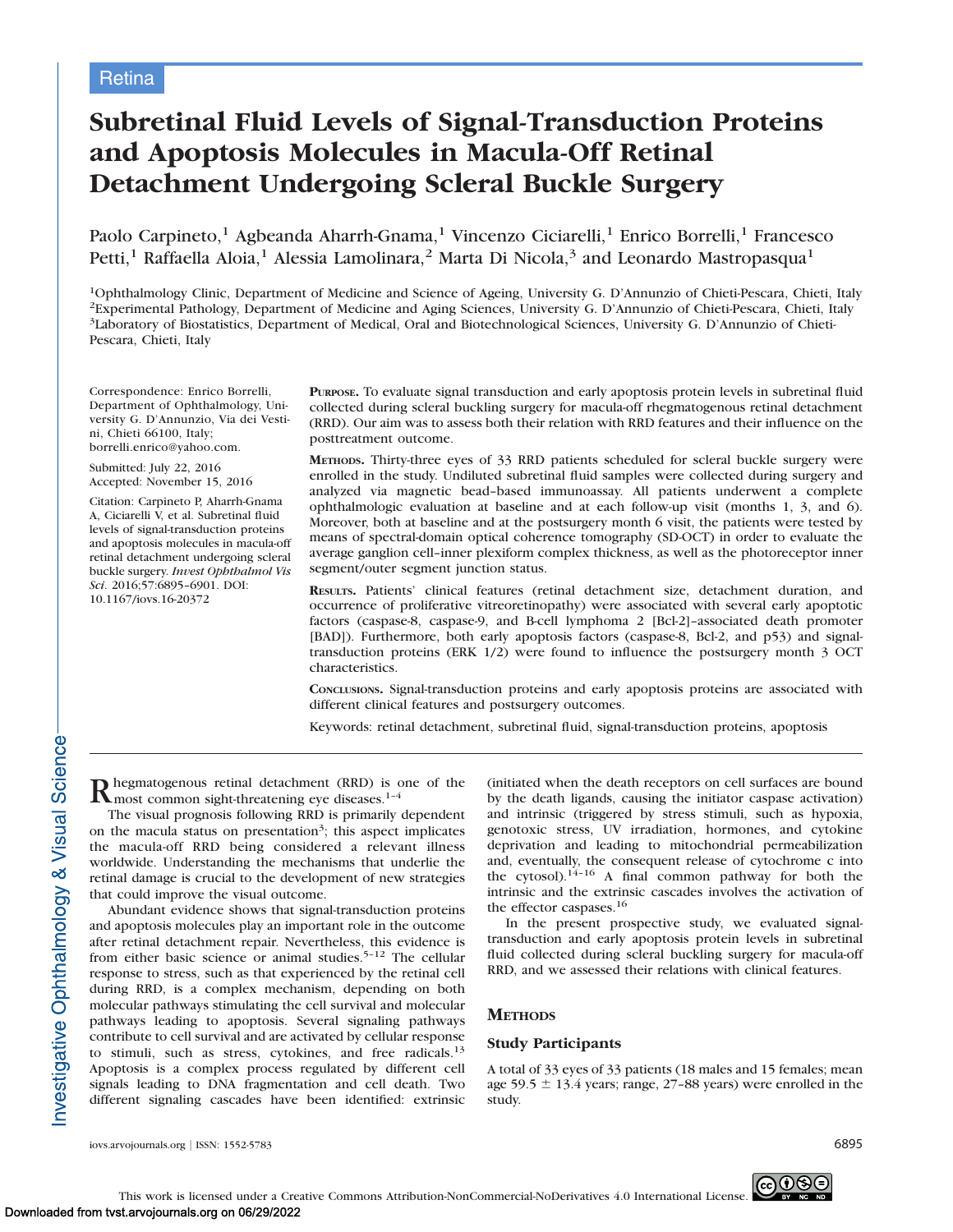# Subretinal Fluid Levels of Signal-Transduction Proteins and Apoptosis Molecules in Macula-Off Retinal Detachment Undergoing Scleral Buckle Surgery

Paolo Carpineto,<sup>1</sup> Agbeanda Aharrh-Gnama,<sup>1</sup> Vincenzo Ciciarelli,<sup>1</sup> Enrico Borrelli,<sup>1</sup> Francesco Petti,<sup>1</sup> Raffaella Aloia,<sup>1</sup> Alessia Lamolinara,<sup>2</sup> Marta Di Nicola,<sup>3</sup> and Leonardo Mastropasqua<sup>1</sup>

1Ophthalmology Clinic, Department of Medicine and Science of Ageing, University G. D'Annunzio of Chieti-Pescara, Chieti, Italy 2Experimental Pathology, Department of Medicine and Aging Sciences, University G. D'Annunzio of Chieti-Pescara, Chieti, Italy 3Laboratory of Biostatistics, Department of Medical, Oral and Biotechnological Sciences, University G. D'Annunzio of Chieti-Pescara, Chieti, Italy

Correspondence: Enrico Borrelli, Department of Ophthalmology, University G. D'Annunzio, Via dei Vestini, Chieti 66100, Italy; borrelli.enrico@yahoo.com.

Submitted: July 22, 2016 Accepted: November 15, 2016

Citation: Carpineto P, Aharrh-Gnama A, Ciciarelli V, et al. Subretinal fluid levels of signal-transduction proteins and apoptosis molecules in macula-off retinal detachment undergoing scleral buckle surgery. Invest Ophthalmol Vis Sci. 2016;57:6895–6901. DOI: 10.1167/iovs.16-20372

PURPOSE. To evaluate signal transduction and early apoptosis protein levels in subretinal fluid collected during scleral buckling surgery for macula-off rhegmatogenous retinal detachment (RRD). Our aim was to assess both their relation with RRD features and their influence on the posttreatment outcome.

METHODS. Thirty-three eyes of 33 RRD patients scheduled for scleral buckle surgery were enrolled in the study. Undiluted subretinal fluid samples were collected during surgery and analyzed via magnetic bead–based immunoassay. All patients underwent a complete ophthalmologic evaluation at baseline and at each follow-up visit (months 1, 3, and 6). Moreover, both at baseline and at the postsurgery month 6 visit, the patients were tested by means of spectral-domain optical coherence tomography (SD-OCT) in order to evaluate the average ganglion cell–inner plexiform complex thickness, as well as the photoreceptor inner segment/outer segment junction status.

RESULTS. Patients' clinical features (retinal detachment size, detachment duration, and occurrence of proliferative vitreoretinopathy) were associated with several early apoptotic factors (caspase-8, caspase-9, and B-cell lymphoma 2 [Bcl-2]–associated death promoter [BAD]). Furthermore, both early apoptosis factors (caspase-8, Bcl-2, and p53) and signaltransduction proteins (ERK 1/2) were found to influence the postsurgery month 3 OCT characteristics.

CONCLUSIONS. Signal-transduction proteins and early apoptosis proteins are associated with different clinical features and postsurgery outcomes.

Keywords: retinal detachment, subretinal fluid, signal-transduction proteins, apoptosis

**R** hegmatogenous retinal detachment (RRD) is one of the most common sight-threatening eye diseases.<sup>1-4</sup>

The visual prognosis following RRD is primarily dependent on the macula status on presentation<sup>3</sup>; this aspect implicates the macula-off RRD being considered a relevant illness worldwide. Understanding the mechanisms that underlie the retinal damage is crucial to the development of new strategies that could improve the visual outcome.

Abundant evidence shows that signal-transduction proteins and apoptosis molecules play an important role in the outcome after retinal detachment repair. Nevertheless, this evidence is from either basic science or animal studies.<sup>5-12</sup> The cellular response to stress, such as that experienced by the retinal cell during RRD, is a complex mechanism, depending on both molecular pathways stimulating the cell survival and molecular pathways leading to apoptosis. Several signaling pathways contribute to cell survival and are activated by cellular response to stimuli, such as stress, cytokines, and free radicals.<sup>13</sup> Apoptosis is a complex process regulated by different cell signals leading to DNA fragmentation and cell death. Two different signaling cascades have been identified: extrinsic (initiated when the death receptors on cell surfaces are bound by the death ligands, causing the initiator caspase activation) and intrinsic (triggered by stress stimuli, such as hypoxia, genotoxic stress, UV irradiation, hormones, and cytokine deprivation and leading to mitochondrial permeabilization and, eventually, the consequent release of cytochrome c into the cytosol).14–16 A final common pathway for both the intrinsic and the extrinsic cascades involves the activation of the effector caspases.<sup>16</sup>

In the present prospective study, we evaluated signaltransduction and early apoptosis protein levels in subretinal fluid collected during scleral buckling surgery for macula-off RRD, and we assessed their relations with clinical features.

# **METHODS**

# Study Participants

A total of 33 eyes of 33 patients (18 males and 15 females; mean age 59.5  $\pm$  13.4 years; range, 27–88 years) were enrolled in the study.

iovs.arvojournals.org j ISSN: 1552-5783 6895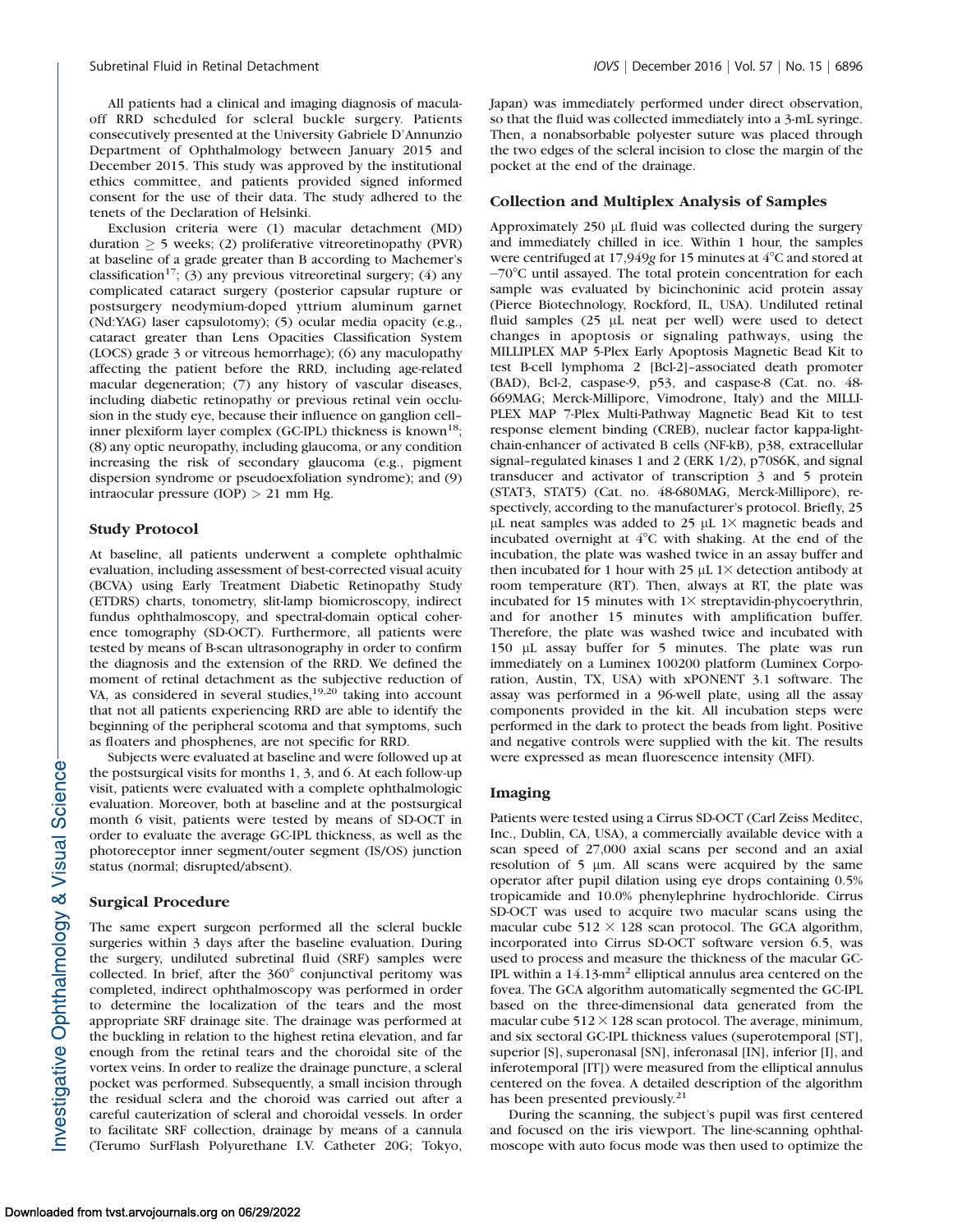All patients had a clinical and imaging diagnosis of maculaoff RRD scheduled for scleral buckle surgery. Patients consecutively presented at the University Gabriele D'Annunzio Department of Ophthalmology between January 2015 and December 2015. This study was approved by the institutional ethics committee, and patients provided signed informed consent for the use of their data. The study adhered to the tenets of the Declaration of Helsinki.

Exclusion criteria were (1) macular detachment (MD) duration  $\geq$  5 weeks; (2) proliferative vitreoretinopathy (PVR) at baseline of a grade greater than B according to Machemer's classification<sup>17</sup>; (3) any previous vitreoretinal surgery; (4) any complicated cataract surgery (posterior capsular rupture or postsurgery neodymium-doped yttrium aluminum garnet (Nd:YAG) laser capsulotomy); (5) ocular media opacity (e.g., cataract greater than Lens Opacities Classification System (LOCS) grade 3 or vitreous hemorrhage); (6) any maculopathy affecting the patient before the RRD, including age-related macular degeneration; (7) any history of vascular diseases, including diabetic retinopathy or previous retinal vein occlusion in the study eye, because their influence on ganglion cell– inner plexiform layer complex (GC-IPL) thickness is known<sup>18</sup>; (8) any optic neuropathy, including glaucoma, or any condition increasing the risk of secondary glaucoma (e.g., pigment dispersion syndrome or pseudoexfoliation syndrome); and (9) intraocular pressure (IOP) > 21 mm Hg.

## Study Protocol

At baseline, all patients underwent a complete ophthalmic evaluation, including assessment of best-corrected visual acuity (BCVA) using Early Treatment Diabetic Retinopathy Study (ETDRS) charts, tonometry, slit-lamp biomicroscopy, indirect fundus ophthalmoscopy, and spectral-domain optical coherence tomography (SD-OCT). Furthermore, all patients were tested by means of B-scan ultrasonography in order to confirm the diagnosis and the extension of the RRD. We defined the moment of retinal detachment as the subjective reduction of VA, as considered in several studies,<sup>19,20</sup> taking into account that not all patients experiencing RRD are able to identify the beginning of the peripheral scotoma and that symptoms, such as floaters and phosphenes, are not specific for RRD.

Subjects were evaluated at baseline and were followed up at the postsurgical visits for months 1, 3, and 6. At each follow-up visit, patients were evaluated with a complete ophthalmologic evaluation. Moreover, both at baseline and at the postsurgical month 6 visit, patients were tested by means of SD-OCT in order to evaluate the average GC-IPL thickness, as well as the photoreceptor inner segment/outer segment (IS/OS) junction status (normal; disrupted/absent).

#### Surgical Procedure

The same expert surgeon performed all the scleral buckle surgeries within 3 days after the baseline evaluation. During the surgery, undiluted subretinal fluid (SRF) samples were collected. In brief, after the  $360^\circ$  conjunctival peritomy was completed, indirect ophthalmoscopy was performed in order to determine the localization of the tears and the most appropriate SRF drainage site. The drainage was performed at the buckling in relation to the highest retina elevation, and far enough from the retinal tears and the choroidal site of the vortex veins. In order to realize the drainage puncture, a scleral pocket was performed. Subsequently, a small incision through the residual sclera and the choroid was carried out after a careful cauterization of scleral and choroidal vessels. In order to facilitate SRF collection, drainage by means of a cannula (Terumo SurFlash Polyurethane I.V. Catheter 20G; Tokyo,

Japan) was immediately performed under direct observation, so that the fluid was collected immediately into a 3-mL syringe. Then, a nonabsorbable polyester suture was placed through the two edges of the scleral incision to close the margin of the pocket at the end of the drainage.

#### Collection and Multiplex Analysis of Samples

Approximately  $250 \mu L$  fluid was collected during the surgery and immediately chilled in ice. Within 1 hour, the samples were centrifuged at 17,949g for 15 minutes at  $4^{\circ}$ C and stored at -70°C until assayed. The total protein concentration for each sample was evaluated by bicinchoninic acid protein assay (Pierce Biotechnology, Rockford, IL, USA). Undiluted retinal fluid samples  $(25 \mu L$  neat per well) were used to detect changes in apoptosis or signaling pathways, using the MILLIPLEX MAP 5-Plex Early Apoptosis Magnetic Bead Kit to test B-cell lymphoma 2 [Bcl-2]–associated death promoter (BAD), Bcl-2, caspase-9, p53, and caspase-8 (Cat. no. 48- 669MAG; Merck-Millipore, Vimodrone, Italy) and the MILLI-PLEX MAP 7-Plex Multi-Pathway Magnetic Bead Kit to test response element binding (CREB), nuclear factor kappa-lightchain-enhancer of activated B cells (NF-kB), p38, extracellular signal–regulated kinases 1 and 2 (ERK 1/2), p70S6K, and signal transducer and activator of transcription 3 and 5 protein (STAT3, STAT5) (Cat. no. 48-680MAG, Merck-Millipore), respectively, according to the manufacturer's protocol. Briefly, 25 µL neat samples was added to 25 µL 1 $\times$  magnetic beads and incubated overnight at 4°C with shaking. At the end of the incubation, the plate was washed twice in an assay buffer and then incubated for 1 hour with 25  $\mu$ L 1 $\times$  detection antibody at room temperature (RT). Then, always at RT, the plate was incubated for 15 minutes with  $1\times$  streptavidin-phycoerythrin, and for another 15 minutes with amplification buffer. Therefore, the plate was washed twice and incubated with 150 µL assay buffer for 5 minutes. The plate was run immediately on a Luminex 100200 platform (Luminex Corporation, Austin, TX, USA) with xPONENT 3.1 software. The assay was performed in a 96-well plate, using all the assay components provided in the kit. All incubation steps were performed in the dark to protect the beads from light. Positive and negative controls were supplied with the kit. The results were expressed as mean fluorescence intensity (MFI).

#### Imaging

Patients were tested using a Cirrus SD-OCT (Carl Zeiss Meditec, Inc., Dublin, CA, USA), a commercially available device with a scan speed of 27,000 axial scans per second and an axial resolution of  $5 \mu m$ . All scans were acquired by the same operator after pupil dilation using eye drops containing 0.5% tropicamide and 10.0% phenylephrine hydrochloride. Cirrus SD-OCT was used to acquire two macular scans using the macular cube  $512 \times 128$  scan protocol. The GCA algorithm, incorporated into Cirrus SD-OCT software version 6.5, was used to process and measure the thickness of the macular GC-IPL within a 14.13-mm<sup>2</sup> elliptical annulus area centered on the fovea. The GCA algorithm automatically segmented the GC-IPL based on the three-dimensional data generated from the macular cube  $512 \times 128$  scan protocol. The average, minimum, and six sectoral GC-IPL thickness values (superotemporal [ST], superior [S], superonasal [SN], inferonasal [IN], inferior [I], and inferotemporal [IT]) were measured from the elliptical annulus centered on the fovea. A detailed description of the algorithm has been presented previously.<sup>21</sup>

During the scanning, the subject's pupil was first centered and focused on the iris viewport. The line-scanning ophthalmoscope with auto focus mode was then used to optimize the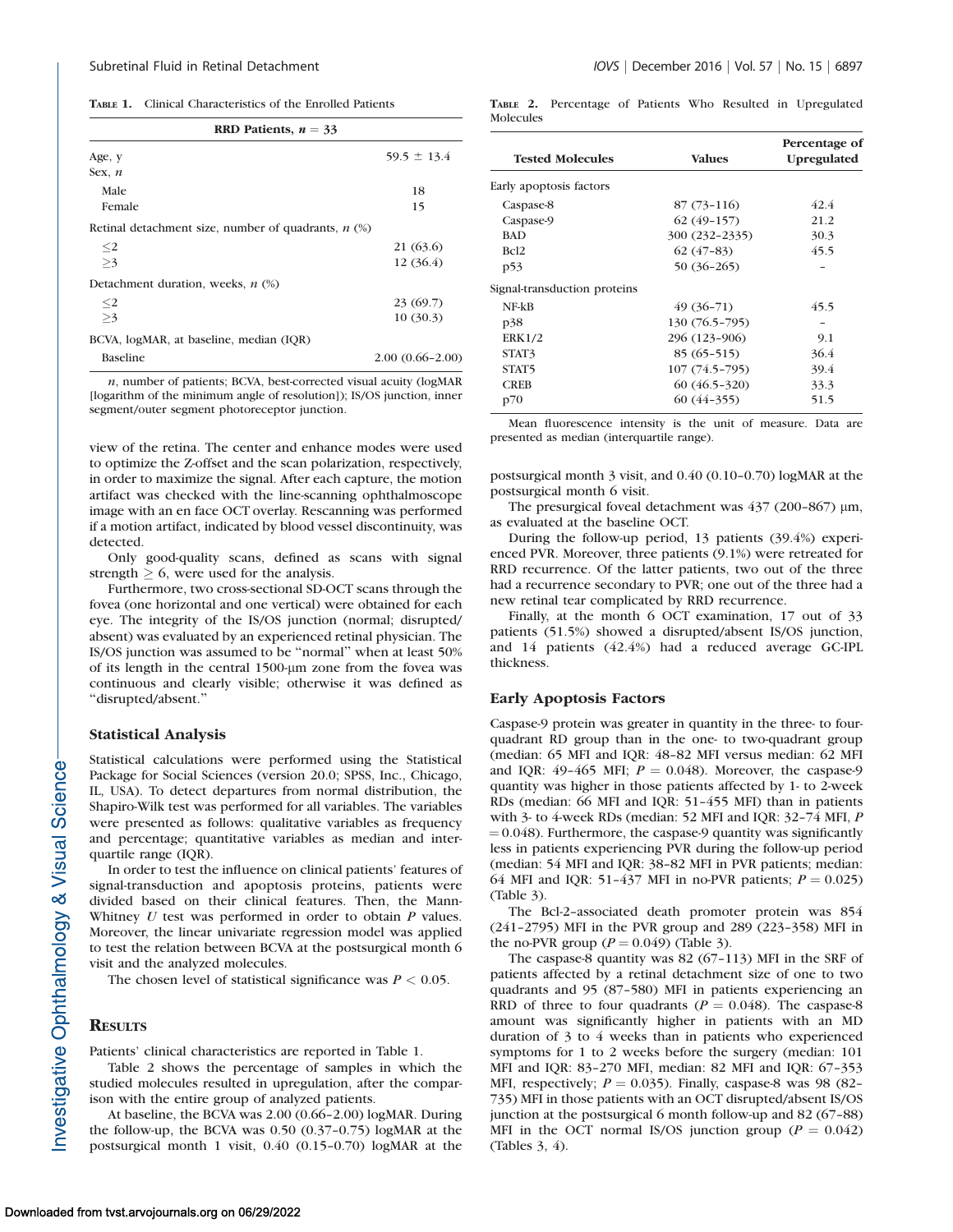| RRD Patients, $n = 33$                                |                     |  |  |
|-------------------------------------------------------|---------------------|--|--|
| Age, y                                                | $59.5 \pm 13.4$     |  |  |
| Sex, $n$                                              |                     |  |  |
| Male                                                  | 18                  |  |  |
| Female                                                | 15                  |  |  |
| Retinal detachment size, number of quadrants, $n$ (%) |                     |  |  |
| $\leq$ 2                                              | 21 (63.6)           |  |  |
| >3                                                    | 12 (36.4)           |  |  |
| Detachment duration, weeks, $n$ (%)                   |                     |  |  |
| $\leq$ 2                                              | 23(69.7)            |  |  |
| >3                                                    | 10(30.3)            |  |  |
| BCVA, logMAR, at baseline, median (IOR)               |                     |  |  |
| <b>Baseline</b>                                       | $2.00(0.66 - 2.00)$ |  |  |

n, number of patients; BCVA, best-corrected visual acuity (logMAR [logarithm of the minimum angle of resolution]); IS/OS junction, inner segment/outer segment photoreceptor junction.

view of the retina. The center and enhance modes were used to optimize the Z-offset and the scan polarization, respectively, in order to maximize the signal. After each capture, the motion artifact was checked with the line-scanning ophthalmoscope image with an en face OCT overlay. Rescanning was performed if a motion artifact, indicated by blood vessel discontinuity, was detected.

Only good-quality scans, defined as scans with signal strength  $\geq 6$ , were used for the analysis.

Furthermore, two cross-sectional SD-OCT scans through the fovea (one horizontal and one vertical) were obtained for each eye. The integrity of the IS/OS junction (normal; disrupted/ absent) was evaluated by an experienced retinal physician. The IS/OS junction was assumed to be ''normal'' when at least 50% of its length in the central 1500-µm zone from the fovea was continuous and clearly visible; otherwise it was defined as ''disrupted/absent.''

### Statistical Analysis

Statistical calculations were performed using the Statistical Package for Social Sciences (version 20.0; SPSS, Inc., Chicago, IL, USA). To detect departures from normal distribution, the Shapiro-Wilk test was performed for all variables. The variables were presented as follows: qualitative variables as frequency and percentage; quantitative variables as median and interquartile range (IQR).

In order to test the influence on clinical patients' features of signal-transduction and apoptosis proteins, patients were divided based on their clinical features. Then, the Mann-Whitney  $U$  test was performed in order to obtain  $P$  values. Moreover, the linear univariate regression model was applied to test the relation between BCVA at the postsurgical month 6 visit and the analyzed molecules.

The chosen level of statistical significance was  $P < 0.05$ .

## **RESULTS**

Patients' clinical characteristics are reported in Table 1.

Table 2 shows the percentage of samples in which the studied molecules resulted in upregulation, after the comparison with the entire group of analyzed patients.

At baseline, the BCVA was 2.00 (0.66–2.00) logMAR. During the follow-up, the BCVA was 0.50 (0.37–0.75) logMAR at the postsurgical month 1 visit, 0.40 (0.15–0.70) logMAR at the TABLE 2. Percentage of Patients Who Resulted in Upregulated Molecules

| <b>Tested Molecules</b>      | <b>Values</b>  | Percentage of<br><b>Upregulated</b> |
|------------------------------|----------------|-------------------------------------|
| Early apoptosis factors      |                |                                     |
| Caspase-8                    | $87(73-116)$   | 42.4                                |
| Caspase-9                    | $62(49-157)$   | 21.2                                |
| <b>BAD</b>                   | 300 (232-2335) | 30.3                                |
| Bc <sub>12</sub>             | $62(47-83)$    | 45.5                                |
| p53                          | $50(36-265)$   |                                     |
| Signal-transduction proteins |                |                                     |
| $NF-kB$                      | $49(36-71)$    | 45.5                                |
| p38                          | 130 (76.5-795) |                                     |
| <b>ERK1/2</b>                | 296 (123-906)  | 9.1                                 |
| STAT3                        | $85(65-515)$   | 36.4                                |
| STAT <sub>5</sub>            | 107 (74.5-795) | 39.4                                |
| <b>CREB</b>                  | $60(46.5-320)$ | 33.3                                |
| p70                          | $60(44-355)$   | 51.5                                |

Mean fluorescence intensity is the unit of measure. Data are presented as median (interquartile range).

postsurgical month 3 visit, and 0.40 (0.10–0.70) logMAR at the postsurgical month 6 visit.

The presurgical foveal detachment was  $437$  (200-867)  $\mu$ m, as evaluated at the baseline OCT.

During the follow-up period, 13 patients (39.4%) experienced PVR. Moreover, three patients (9.1%) were retreated for RRD recurrence. Of the latter patients, two out of the three had a recurrence secondary to PVR; one out of the three had a new retinal tear complicated by RRD recurrence.

Finally, at the month 6 OCT examination, 17 out of 33 patients (51.5%) showed a disrupted/absent IS/OS junction, and 14 patients (42.4%) had a reduced average GC-IPL thickness.

#### Early Apoptosis Factors

Caspase-9 protein was greater in quantity in the three- to fourquadrant RD group than in the one- to two-quadrant group (median: 65 MFI and IQR: 48–82 MFI versus median: 62 MFI and IQR: 49-465 MFI;  $P = 0.048$ ). Moreover, the caspase-9 quantity was higher in those patients affected by 1- to 2-week RDs (median: 66 MFI and IQR: 51–455 MFI) than in patients with 3- to 4-week RDs (median: 52 MFI and IQR: 32–74 MFI, P  $= 0.048$ ). Furthermore, the caspase-9 quantity was significantly less in patients experiencing PVR during the follow-up period (median: 54 MFI and IQR: 38–82 MFI in PVR patients; median: 64 MFI and IQR: 51-437 MFI in no-PVR patients;  $P = 0.025$ ) (Table 3).

The Bcl-2–associated death promoter protein was 854 (241–2795) MFI in the PVR group and 289 (223–358) MFI in the no-PVR group ( $P = 0.049$ ) (Table 3).

The caspase-8 quantity was 82 (67–113) MFI in the SRF of patients affected by a retinal detachment size of one to two quadrants and 95 (87–580) MFI in patients experiencing an RRD of three to four quadrants ( $P = 0.048$ ). The caspase-8 amount was significantly higher in patients with an MD duration of 3 to 4 weeks than in patients who experienced symptoms for 1 to 2 weeks before the surgery (median: 101 MFI and IQR: 83–270 MFI, median: 82 MFI and IQR: 67–353 MFI, respectively;  $P = 0.035$ ). Finally, caspase-8 was 98 (82– 735) MFI in those patients with an OCT disrupted/absent IS/OS junction at the postsurgical 6 month follow-up and 82 (67–88) MFI in the OCT normal IS/OS junction group ( $P = 0.042$ ) (Tables 3, 4).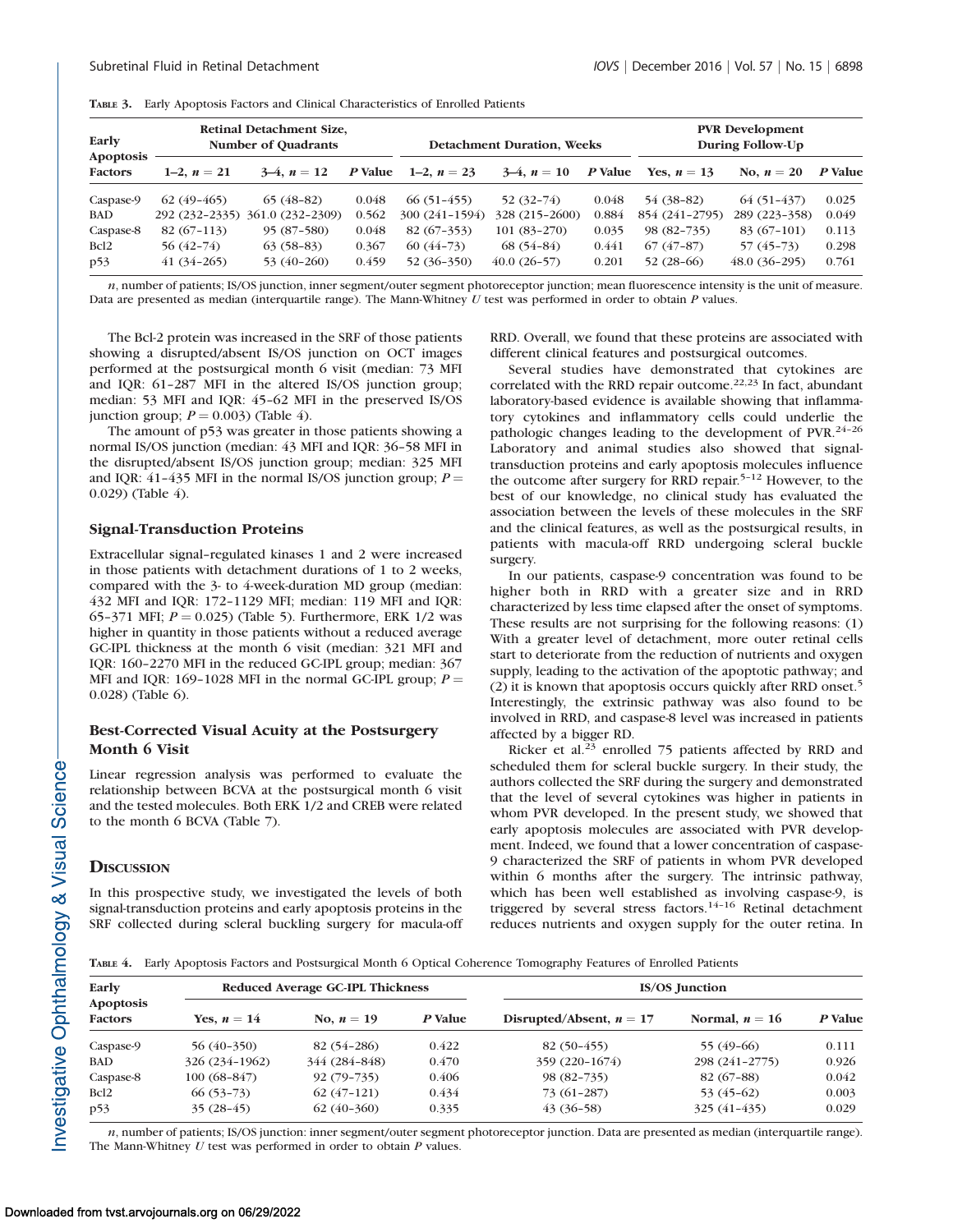|  |  |  |  |  | <b>TABLE 3.</b> Early Apoptosis Factors and Clinical Characteristics of Enrolled Patients |
|--|--|--|--|--|-------------------------------------------------------------------------------------------|
|--|--|--|--|--|-------------------------------------------------------------------------------------------|

| <b>Retinal Detachment Size,</b><br>Early<br><b>Number of Quadrants</b><br>Apoptosis |               |                                 |         | <b>Detachment Duration, Weeks</b> |                |         | <b>PVR Development</b><br>During Follow-Up |                |         |
|-------------------------------------------------------------------------------------|---------------|---------------------------------|---------|-----------------------------------|----------------|---------|--------------------------------------------|----------------|---------|
| <b>Factors</b>                                                                      | 1–2. $n = 21$ | $3-4, n = 12$                   | P Value | 1–2, $n = 23$                     | $3-4, n = 10$  | P Value | Yes, $n=13$                                | No, $n=20$     | P Value |
| Caspase-9                                                                           | $62(49-465)$  | $65(48-82)$                     | 0.048   | $66(51-455)$                      | $52(32-74)$    | 0.048   | 54 (38-82)                                 | $64(51-437)$   | 0.025   |
| <b>BAD</b>                                                                          |               | 292 (232-2335) 361.0 (232-2309) | 0.562   | 300 (241-1594)                    | 328 (215-2600) | 0.884   | 854 (241-2795)                             | 289 (223-358)  | 0.049   |
| Caspase-8                                                                           | $82(67-113)$  | $95(87-580)$                    | 0.048   | $82(67-353)$                      | $101(83-270)$  | 0.035   | 98 (82-735)                                | $83(67-101)$   | 0.113   |
| Bcl <sub>2</sub>                                                                    | $56(42-74)$   | $63(58-83)$                     | 0.367   | $60(44-73)$                       | $68(54-84)$    | 0.441   | $67(47-87)$                                | 57 (45–73)     | 0.298   |
| p53                                                                                 | $41(34-265)$  | $53(40-260)$                    | 0.459   | $52(36-350)$                      | $40.0(26-57)$  | 0.201   | $52(28-66)$                                | $48.0(36-295)$ | 0.761   |

n, number of patients; IS/OS junction, inner segment/outer segment photoreceptor junction; mean fluorescence intensity is the unit of measure. Data are presented as median (interquartile range). The Mann-Whitney  $U$  test was performed in order to obtain  $P$  values.

The Bcl-2 protein was increased in the SRF of those patients showing a disrupted/absent IS/OS junction on OCT images performed at the postsurgical month 6 visit (median: 73 MFI and IQR: 61–287 MFI in the altered IS/OS junction group; median: 53 MFI and IQR: 45–62 MFI in the preserved IS/OS junction group;  $P = 0.003$ ) (Table 4).

The amount of p53 was greater in those patients showing a normal IS/OS junction (median: 43 MFI and IQR: 36–58 MFI in the disrupted/absent IS/OS junction group; median: 325 MFI and IQR: 41-435 MFI in the normal IS/OS junction group;  $P =$ 0.029) (Table 4).

## Signal-Transduction Proteins

Extracellular signal–regulated kinases 1 and 2 were increased in those patients with detachment durations of 1 to 2 weeks, compared with the 3- to 4-week-duration MD group (median: 432 MFI and IQR: 172–1129 MFI; median: 119 MFI and IQR: 65-371 MFI;  $P = 0.025$ ) (Table 5). Furthermore, ERK 1/2 was higher in quantity in those patients without a reduced average GC-IPL thickness at the month 6 visit (median: 321 MFI and IQR: 160–2270 MFI in the reduced GC-IPL group; median: 367 MFI and IQR: 169-1028 MFI in the normal GC-IPL group;  $P =$ 0.028) (Table 6).

## Best-Corrected Visual Acuity at the Postsurgery Month 6 Visit

Linear regression analysis was performed to evaluate the relationship between BCVA at the postsurgical month 6 visit and the tested molecules. Both ERK 1/2 and CREB were related to the month 6 BCVA (Table 7).

## **DISCUSSION**

In this prospective study, we investigated the levels of both signal-transduction proteins and early apoptosis proteins in the SRF collected during scleral buckling surgery for macula-off RRD. Overall, we found that these proteins are associated with different clinical features and postsurgical outcomes.

Several studies have demonstrated that cytokines are correlated with the RRD repair outcome.<sup>22,23</sup> In fact, abundant laboratory-based evidence is available showing that inflammatory cytokines and inflammatory cells could underlie the pathologic changes leading to the development of PVR.24–26 Laboratory and animal studies also showed that signaltransduction proteins and early apoptosis molecules influence the outcome after surgery for RRD repair.5–12 However, to the best of our knowledge, no clinical study has evaluated the association between the levels of these molecules in the SRF and the clinical features, as well as the postsurgical results, in patients with macula-off RRD undergoing scleral buckle surgery.

In our patients, caspase-9 concentration was found to be higher both in RRD with a greater size and in RRD characterized by less time elapsed after the onset of symptoms. These results are not surprising for the following reasons: (1) With a greater level of detachment, more outer retinal cells start to deteriorate from the reduction of nutrients and oxygen supply, leading to the activation of the apoptotic pathway; and (2) it is known that apoptosis occurs quickly after RRD onset.<sup>5</sup> Interestingly, the extrinsic pathway was also found to be involved in RRD, and caspase-8 level was increased in patients affected by a bigger RD.

Ricker et al. $23$  enrolled 75 patients affected by RRD and scheduled them for scleral buckle surgery. In their study, the authors collected the SRF during the surgery and demonstrated that the level of several cytokines was higher in patients in whom PVR developed. In the present study, we showed that early apoptosis molecules are associated with PVR development. Indeed, we found that a lower concentration of caspase-9 characterized the SRF of patients in whom PVR developed within 6 months after the surgery. The intrinsic pathway, which has been well established as involving caspase-9, is triggered by several stress factors.14–16 Retinal detachment reduces nutrients and oxygen supply for the outer retina. In

TABLE 4. Early Apoptosis Factors and Postsurgical Month 6 Optical Coherence Tomography Features of Enrolled Patients

| Early<br>Apoptosis<br><b>Factors</b> |                | Reduced Average GC-IPL Thickness |         | <b>IS/OS Junction</b>      |                  |         |  |
|--------------------------------------|----------------|----------------------------------|---------|----------------------------|------------------|---------|--|
|                                      | Yes, $n = 14$  | No, $n = 19$                     | P Value | Disrupted/Absent, $n = 17$ | Normal, $n = 16$ | P Value |  |
| Caspase-9                            | $56(40-350)$   | 82 (54-286)                      | 0.422   | $82(50-455)$               | 55 (49-66)       | 0.111   |  |
| <b>BAD</b>                           | 326 (234-1962) | 344 (284-848)                    | 0.470   | 359 (220-1674)             | 298 (241-2775)   | 0.926   |  |
| Caspase-8                            | $100(68-847)$  | $92(79-735)$                     | 0.406   | $98(82 - 735)$             | $82(67-88)$      | 0.042   |  |
| Bcl <sub>2</sub>                     | $66(53 - 73)$  | $62(47-121)$                     | 0.434   | $73(61-287)$               | $53(45-62)$      | 0.003   |  |
| p53                                  | $35(28-45)$    | $62(40-360)$                     | 0.335   | $43(36-58)$                | $325(41-435)$    | 0.029   |  |

n, number of patients; IS/OS junction: inner segment/outer segment photoreceptor junction. Data are presented as median (interquartile range). The Mann-Whitney  $U$  test was performed in order to obtain  $P$  values.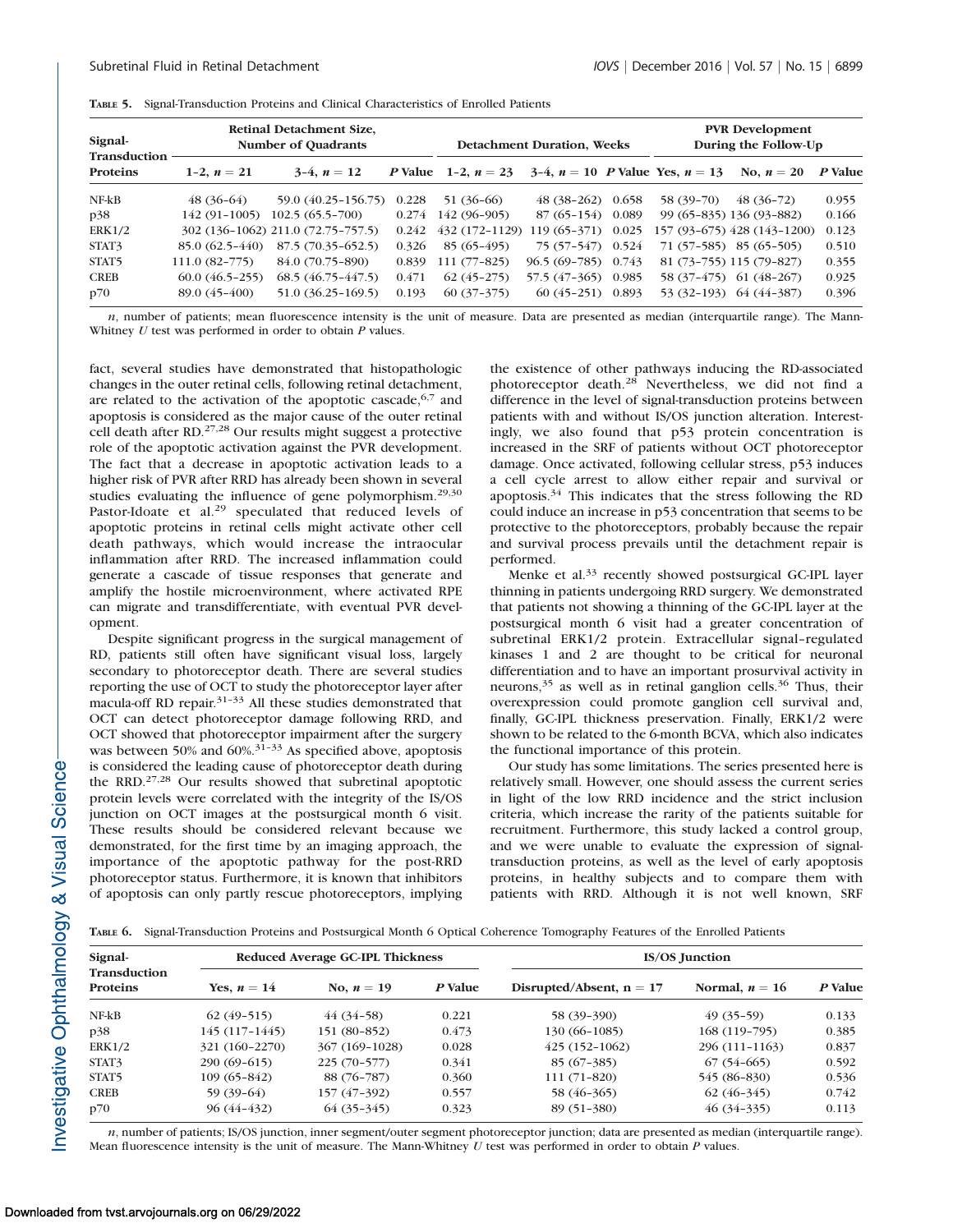| Signal-<br><b>Transduction</b> | <b>Retinal Detachment Size,</b><br><b>Number of Quadrants</b> |                                    |       | <b>Detachment Duration, Weeks</b> |                      |  | <b>PVR</b> Development<br>During the Follow-Up |                             |         |
|--------------------------------|---------------------------------------------------------------|------------------------------------|-------|-----------------------------------|----------------------|--|------------------------------------------------|-----------------------------|---------|
| Proteins                       | 1-2, $n = 21$                                                 | $3-4, n = 12$                      |       | <i>P</i> Value 1-2, $n = 23$      |                      |  | 3-4, $n = 10$ P Value Yes, $n = 13$            | No. $n = 20$                | P Value |
| $NF-kB$                        | $48(36-64)$                                                   | 59.0 (40.25-156.75)                | 0.228 | 51 (36-66)                        | $48(38-262)$ 0.658   |  | 58 (39-70)                                     | $48(36-72)$                 | 0.955   |
| p38                            | 142 (91-1005)                                                 | $102.5(65.5 - 700)$                | 0.274 | 142 (96-905)                      | $87(65-154)$ 0.089   |  |                                                | 99 (65-835) 136 (93-882)    | 0.166   |
| ERK1/2                         |                                                               | 302 (136-1062) 211.0 (72.75-757.5) | 0.242 | $432(172-1129)$                   | $119(65-371)$ 0.025  |  |                                                | 157 (93-675) 428 (143-1200) | 0.123   |
| STAT3                          | $85.0(62.5-440)$                                              | 87.5 (70.35-652.5)                 | 0.326 | $85(65-495)$                      | 75 (57-547) 0.524    |  |                                                | $71(57-585)$ 85 (65-505)    | 0.510   |
| STAT <sub>5</sub>              | $111.0(82-775)$                                               | 84.0 (70.75-890)                   | 0.839 | $111(77-825)$                     | $96.5(69-785)$ 0.743 |  |                                                | 81 (73-755) 115 (79-827)    | 0.355   |
| <b>CREB</b>                    | $60.0(46.5-255)$                                              | $68.5(46.75-447.5)$                | 0.471 | $62(45-275)$                      | 57.5 (47-365) 0.985  |  |                                                | 58 (37-475) 61 (48-267)     | 0.925   |
| p70                            | 89.0 (45-400)                                                 | 51.0 (36.25-169.5)                 | 0.193 | $60(37-375)$                      | $60(45-251)$ 0.893   |  |                                                | $53(32-193)$ $64(44-387)$   | 0.396   |

TABLE 5. Signal-Transduction Proteins and Clinical Characteristics of Enrolled Patients

n, number of patients; mean fluorescence intensity is the unit of measure. Data are presented as median (interquartile range). The Mann-Whitney  $U$  test was performed in order to obtain  $P$  values.

fact, several studies have demonstrated that histopathologic changes in the outer retinal cells, following retinal detachment, are related to the activation of the apoptotic cascade,  $6,7$  and apoptosis is considered as the major cause of the outer retinal cell death after RD.27,28 Our results might suggest a protective role of the apoptotic activation against the PVR development. The fact that a decrease in apoptotic activation leads to a higher risk of PVR after RRD has already been shown in several studies evaluating the influence of gene polymorphism.<sup>29,30</sup> Pastor-Idoate et al.<sup>29</sup> speculated that reduced levels of apoptotic proteins in retinal cells might activate other cell death pathways, which would increase the intraocular inflammation after RRD. The increased inflammation could generate a cascade of tissue responses that generate and amplify the hostile microenvironment, where activated RPE can migrate and transdifferentiate, with eventual PVR development.

Despite significant progress in the surgical management of RD, patients still often have significant visual loss, largely secondary to photoreceptor death. There are several studies reporting the use of OCT to study the photoreceptor layer after macula-off RD repair.<sup>31-33</sup> All these studies demonstrated that OCT can detect photoreceptor damage following RRD, and OCT showed that photoreceptor impairment after the surgery was between 50% and 60%.<sup>31-33</sup> As specified above, apoptosis is considered the leading cause of photoreceptor death during the RRD.27,28 Our results showed that subretinal apoptotic protein levels were correlated with the integrity of the IS/OS junction on OCT images at the postsurgical month 6 visit. These results should be considered relevant because we demonstrated, for the first time by an imaging approach, the importance of the apoptotic pathway for the post-RRD photoreceptor status. Furthermore, it is known that inhibitors of apoptosis can only partly rescue photoreceptors, implying the existence of other pathways inducing the RD-associated photoreceptor death.<sup>28</sup> Nevertheless, we did not find a difference in the level of signal-transduction proteins between patients with and without IS/OS junction alteration. Interestingly, we also found that p53 protein concentration is increased in the SRF of patients without OCT photoreceptor damage. Once activated, following cellular stress, p53 induces a cell cycle arrest to allow either repair and survival or apoptosis.<sup>34</sup> This indicates that the stress following the RD could induce an increase in p53 concentration that seems to be protective to the photoreceptors, probably because the repair and survival process prevails until the detachment repair is performed.

Menke et al.<sup>33</sup> recently showed postsurgical GC-IPL layer thinning in patients undergoing RRD surgery. We demonstrated that patients not showing a thinning of the GC-IPL layer at the postsurgical month 6 visit had a greater concentration of subretinal ERK1/2 protein. Extracellular signal–regulated kinases 1 and 2 are thought to be critical for neuronal differentiation and to have an important prosurvival activity in neurons,<sup>35</sup> as well as in retinal ganglion cells.<sup>36</sup> Thus, their overexpression could promote ganglion cell survival and, finally, GC-IPL thickness preservation. Finally, ERK1/2 were shown to be related to the 6-month BCVA, which also indicates the functional importance of this protein.

Our study has some limitations. The series presented here is relatively small. However, one should assess the current series in light of the low RRD incidence and the strict inclusion criteria, which increase the rarity of the patients suitable for recruitment. Furthermore, this study lacked a control group, and we were unable to evaluate the expression of signaltransduction proteins, as well as the level of early apoptosis proteins, in healthy subjects and to compare them with patients with RRD. Although it is not well known, SRF

TABLE 6. Signal-Transduction Proteins and Postsurgical Month 6 Optical Coherence Tomography Features of the Enrolled Patients

| Signal-<br><b>Transduction</b><br><b>Proteins</b> |                 | <b>Reduced Average GC-IPL Thickness</b> |         | <b>IS/OS Junction</b>      |                  |         |  |
|---------------------------------------------------|-----------------|-----------------------------------------|---------|----------------------------|------------------|---------|--|
|                                                   | Yes, $n = 14$   | No, $n = 19$                            | P Value | Disrupted/Absent, $n = 17$ | Normal, $n = 16$ | P Value |  |
| $NF-kB$                                           | $62(49-515)$    | $44(34-58)$                             | 0.221   | 58 (39-390)                | $49(35-59)$      | 0.133   |  |
| p38                                               | $145(117-1445)$ | 151 (80-852)                            | 0.473   | 130 (66-1085)              | $168(119-795)$   | 0.385   |  |
| ERK1/2                                            | 321 (160-2270)  | 367 (169-1028)                          | 0.028   | $425(152-1062)$            | 296 (111-1163)   | 0.837   |  |
| STAT3                                             | $290(69-615)$   | $225(70-577)$                           | 0.341   | $85(67-385)$               | $67(54-665)$     | 0.592   |  |
| STAT <sub>5</sub>                                 | 109 (65-842)    | 88 (76-787)                             | 0.360   | $111(71-820)$              | 545 (86-830)     | 0.536   |  |
| <b>CREB</b>                                       | $59(39-64)$     | 157 (47-392)                            | 0.557   | 58 (46-365)                | $62(46-345)$     | 0.742   |  |
| p70                                               | $96(44-432)$    | $64(35-345)$                            | 0.323   | $89(51-380)$               | $46(34-335)$     | 0.113   |  |

n, number of patients; IS/OS junction, inner segment/outer segment photoreceptor junction; data are presented as median (interquartile range). Mean fluorescence intensity is the unit of measure. The Mann-Whitney  $U$  test was performed in order to obtain  $P$  values.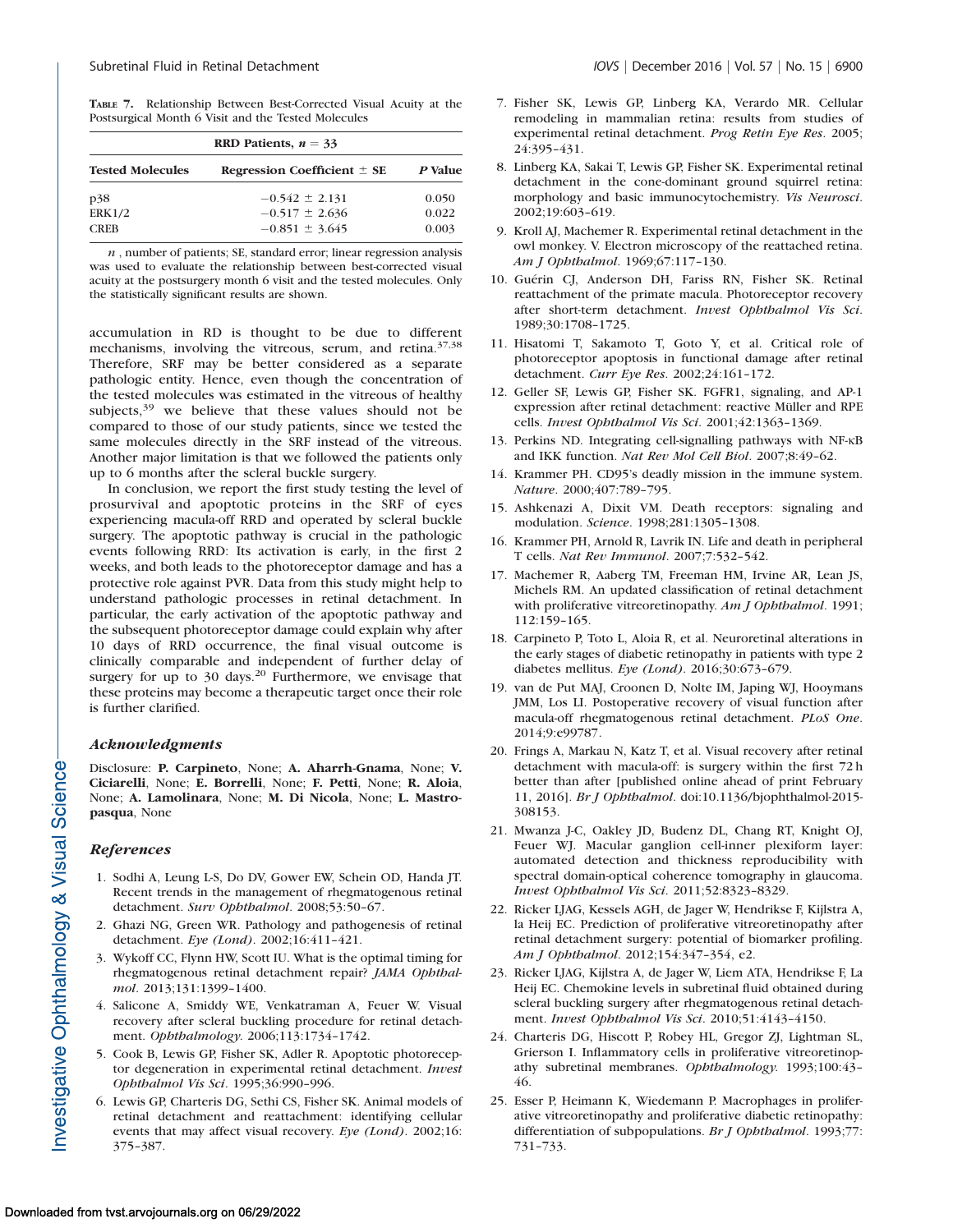TABLE 7. Relationship Between Best-Corrected Visual Acuity at the Postsurgical Month 6 Visit and the Tested Molecules

| RRD Patients, $n = 33$                                     |                    |       |  |  |  |  |
|------------------------------------------------------------|--------------------|-------|--|--|--|--|
| <b>Tested Molecules</b><br>Regression Coefficient $\pm$ SE |                    |       |  |  |  |  |
| p38                                                        | $-0.542 \pm 2.131$ | 0.050 |  |  |  |  |
| <b>ERK1/2</b>                                              | $-0.517 \pm 2.636$ | 0.022 |  |  |  |  |
| <b>CREB</b>                                                | $-0.851 \pm 3.645$ | 0.003 |  |  |  |  |

 $n$ , number of patients; SE, standard error; linear regression analysis was used to evaluate the relationship between best-corrected visual acuity at the postsurgery month 6 visit and the tested molecules. Only the statistically significant results are shown.

accumulation in RD is thought to be due to different mechanisms, involving the vitreous, serum, and retina.37,38 Therefore, SRF may be better considered as a separate pathologic entity. Hence, even though the concentration of the tested molecules was estimated in the vitreous of healthy subjects, $39$  we believe that these values should not be compared to those of our study patients, since we tested the same molecules directly in the SRF instead of the vitreous. Another major limitation is that we followed the patients only up to 6 months after the scleral buckle surgery.

In conclusion, we report the first study testing the level of prosurvival and apoptotic proteins in the SRF of eyes experiencing macula-off RRD and operated by scleral buckle surgery. The apoptotic pathway is crucial in the pathologic events following RRD: Its activation is early, in the first 2 weeks, and both leads to the photoreceptor damage and has a protective role against PVR. Data from this study might help to understand pathologic processes in retinal detachment. In particular, the early activation of the apoptotic pathway and the subsequent photoreceptor damage could explain why after 10 days of RRD occurrence, the final visual outcome is clinically comparable and independent of further delay of surgery for up to 30 days.<sup>20</sup> Furthermore, we envisage that these proteins may become a therapeutic target once their role is further clarified.

#### Acknowledgments

Disclosure: P. Carpineto, None; A. Aharrh-Gnama, None; V. Ciciarelli, None; E. Borrelli, None; F. Petti, None; R. Aloia, None; A. Lamolinara, None; M. Di Nicola, None; L. Mastropasqua, None

#### References

- 1. Sodhi A, Leung L-S, Do DV, Gower EW, Schein OD, Handa JT. Recent trends in the management of rhegmatogenous retinal detachment. Surv Ophthalmol. 2008;53:50–67.
- 2. Ghazi NG, Green WR. Pathology and pathogenesis of retinal detachment. Eye (Lond). 2002;16:411–421.
- 3. Wykoff CC, Flynn HW, Scott IU. What is the optimal timing for rhegmatogenous retinal detachment repair? JAMA Ophthalmol. 2013;131:1399–1400.
- 4. Salicone A, Smiddy WE, Venkatraman A, Feuer W. Visual recovery after scleral buckling procedure for retinal detachment. Ophthalmology. 2006;113:1734–1742.
- 5. Cook B, Lewis GP, Fisher SK, Adler R. Apoptotic photoreceptor degeneration in experimental retinal detachment. Invest Ophthalmol Vis Sci. 1995;36:990–996.
- 6. Lewis GP, Charteris DG, Sethi CS, Fisher SK. Animal models of retinal detachment and reattachment: identifying cellular events that may affect visual recovery. Eye (Lond). 2002;16: 375–387.
- 7. Fisher SK, Lewis GP, Linberg KA, Verardo MR. Cellular remodeling in mammalian retina: results from studies of experimental retinal detachment. Prog Retin Eye Res. 2005; 24:395–431.
- 8. Linberg KA, Sakai T, Lewis GP, Fisher SK. Experimental retinal detachment in the cone-dominant ground squirrel retina: morphology and basic immunocytochemistry. Vis Neurosci. 2002;19:603–619.
- 9. Kroll AJ, Machemer R. Experimental retinal detachment in the owl monkey. V. Electron microscopy of the reattached retina. Am J Ophthalmol. 1969;67:117–130.
- 10. Guérin CJ, Anderson DH, Fariss RN, Fisher SK. Retinal reattachment of the primate macula. Photoreceptor recovery after short-term detachment. Invest Ophthalmol Vis Sci. 1989;30:1708–1725.
- 11. Hisatomi T, Sakamoto T, Goto Y, et al. Critical role of photoreceptor apoptosis in functional damage after retinal detachment. Curr Eye Res. 2002;24:161–172.
- 12. Geller SF, Lewis GP, Fisher SK. FGFR1, signaling, and AP-1 expression after retinal detachment: reactive Müller and RPE cells. Invest Ophthalmol Vis Sci. 2001;42:1363–1369.
- 13. Perkins ND. Integrating cell-signalling pathways with NF-KB and IKK function. Nat Rev Mol Cell Biol. 2007;8:49–62.
- 14. Krammer PH. CD95's deadly mission in the immune system. Nature. 2000;407:789–795.
- 15. Ashkenazi A, Dixit VM. Death receptors: signaling and modulation. Science. 1998;281:1305–1308.
- 16. Krammer PH, Arnold R, Lavrik IN. Life and death in peripheral T cells. Nat Rev Immunol. 2007;7:532–542.
- 17. Machemer R, Aaberg TM, Freeman HM, Irvine AR, Lean JS, Michels RM. An updated classification of retinal detachment with proliferative vitreoretinopathy. Am J Ophthalmol. 1991; 112:159–165.
- 18. Carpineto P, Toto L, Aloia R, et al. Neuroretinal alterations in the early stages of diabetic retinopathy in patients with type 2 diabetes mellitus. Eye (Lond). 2016;30:673–679.
- 19. van de Put MAJ, Croonen D, Nolte IM, Japing WJ, Hooymans JMM, Los LI. Postoperative recovery of visual function after macula-off rhegmatogenous retinal detachment. PLoS One. 2014;9:e99787.
- 20. Frings A, Markau N, Katz T, et al. Visual recovery after retinal detachment with macula-off: is surgery within the first 72 h better than after [published online ahead of print February 11, 2016]. Br J Ophthalmol. doi:10.1136/bjophthalmol-2015- 308153.
- 21. Mwanza J-C, Oakley JD, Budenz DL, Chang RT, Knight OJ, Feuer WJ. Macular ganglion cell-inner plexiform layer: automated detection and thickness reproducibility with spectral domain-optical coherence tomography in glaucoma. Invest Ophthalmol Vis Sci. 2011;52:8323–8329.
- 22. Ricker LJAG, Kessels AGH, de Jager W, Hendrikse F, Kijlstra A, la Heij EC. Prediction of proliferative vitreoretinopathy after retinal detachment surgery: potential of biomarker profiling. Am J Ophthalmol. 2012;154:347–354, e2.
- 23. Ricker LJAG, Kijlstra A, de Jager W, Liem ATA, Hendrikse F, La Heij EC. Chemokine levels in subretinal fluid obtained during scleral buckling surgery after rhegmatogenous retinal detachment. Invest Ophthalmol Vis Sci. 2010;51:4143–4150.
- 24. Charteris DG, Hiscott P, Robey HL, Gregor ZJ, Lightman SL, Grierson I. Inflammatory cells in proliferative vitreoretinopathy subretinal membranes. Ophthalmology. 1993;100:43– 46.
- 25. Esser P, Heimann K, Wiedemann P. Macrophages in proliferative vitreoretinopathy and proliferative diabetic retinopathy: differentiation of subpopulations. Br J Ophthalmol. 1993;77: 731–733.